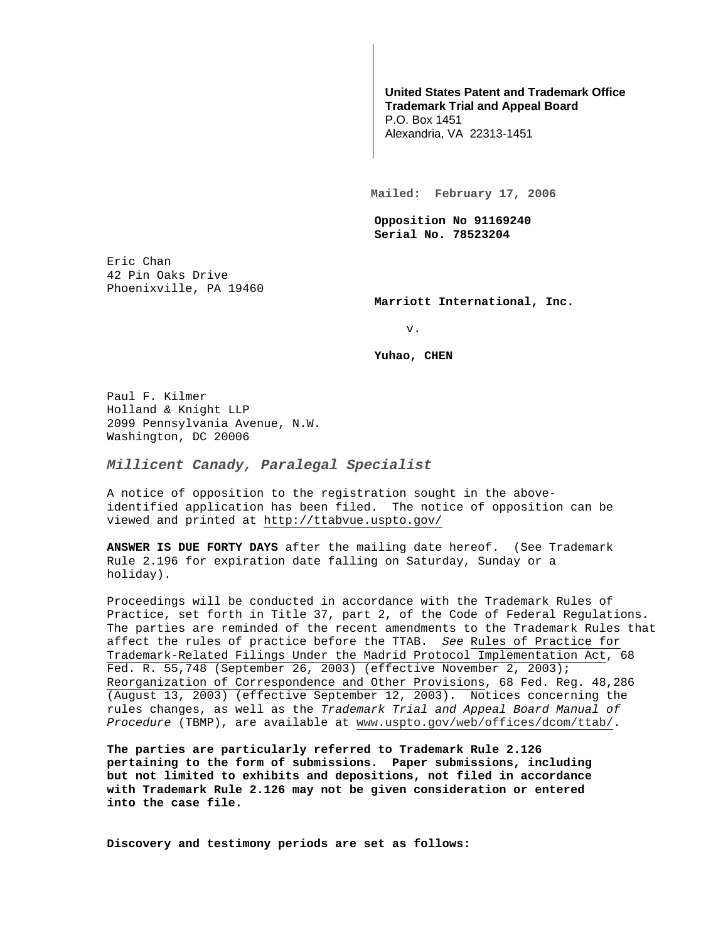## **United States Patent and Trademark Office Trademark Trial and Appeal Board**

P.O. Box 1451 Alexandria, VA 22313-1451

**Mailed: February 17, 2006** 

**Opposition No 91169240 Serial No. 78523204** 

Eric Chan 42 Pin Oaks Drive Phoenixville, PA 19460

**Marriott International, Inc.** 

v.

**Yuhao, CHEN** 

Paul F. Kilmer Holland & Knight LLP 2099 Pennsylvania Avenue, N.W. Washington, DC 20006

**Millicent Canady, Paralegal Specialist**

A notice of opposition to the registration sought in the aboveidentified application has been filed. The notice of opposition can be viewed and printed at http://ttabvue.uspto.gov/

**ANSWER IS DUE FORTY DAYS** after the mailing date hereof. (See Trademark Rule 2.196 for expiration date falling on Saturday, Sunday or a holiday).

Proceedings will be conducted in accordance with the Trademark Rules of Practice, set forth in Title 37, part 2, of the Code of Federal Regulations. The parties are reminded of the recent amendments to the Trademark Rules that affect the rules of practice before the TTAB. See Rules of Practice for Trademark-Related Filings Under the Madrid Protocol Implementation Act, 68 Fed. R. 55,748 (September 26, 2003) (effective November 2, 2003); Reorganization of Correspondence and Other Provisions, 68 Fed. Reg. 48,286 (August 13, 2003) (effective September 12, 2003). Notices concerning the rules changes, as well as the Trademark Trial and Appeal Board Manual of Procedure (TBMP), are available at www.uspto.gov/web/offices/dcom/ttab/.

**The parties are particularly referred to Trademark Rule 2.126 pertaining to the form of submissions. Paper submissions, including but not limited to exhibits and depositions, not filed in accordance with Trademark Rule 2.126 may not be given consideration or entered into the case file.** 

**Discovery and testimony periods are set as follows:**